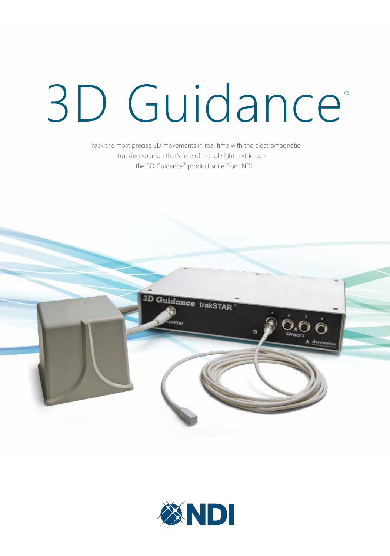# 3D Guidance®

Track the most precise 3D movements in real time with the electromagnetic tracking solution that's free of line of sight restrictions – the 3D Guidance® product suite from NDI.



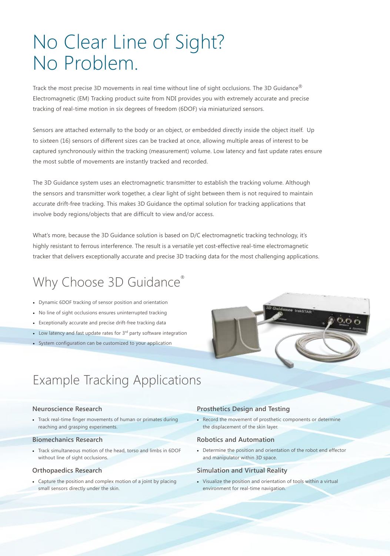## No Clear Line of Sight? No Problem.

Track the most precise 3D movements in real time without line of sight occlusions. The 3D Guidance® Electromagnetic (EM) Tracking product suite from NDI provides you with extremely accurate and precise tracking of real-time motion in six degrees of freedom (6DOF) via miniaturized sensors.

Sensors are attached externally to the body or an object, or embedded directly inside the object itself. Up to sixteen (16) sensors of different sizes can be tracked at once, allowing multiple areas of interest to be captured synchronously within the tracking (measurement) volume. Low latency and fast update rates ensure the most subtle of movements are instantly tracked and recorded.

The 3D Guidance system uses an electromagnetic transmitter to establish the tracking volume. Although the sensors and transmitter work together, a clear light of sight between them is not required to maintain accurate drift-free tracking. This makes 3D Guidance the optimal solution for tracking applications that involve body regions/objects that are difficult to view and/or access.

What's more, because the 3D Guidance solution is based on D/C electromagnetic tracking technology, it's highly resistant to ferrous interference. The result is a versatile yet cost-effective real-time electromagnetic tracker that delivers exceptionally accurate and precise 3D tracking data for the most challenging applications.

## Why Choose 3D Guidance®

- • Dynamic 6DOF tracking of sensor position and orientation
- No line of sight occlusions ensures uninterrupted tracking
- • Exceptionally accurate and precise drift-free tracking data
- Low latency and fast update rates for  $3<sup>rd</sup>$  party software integration
- System configuration can be customized to your application



## Example Tracking Applications

#### **Neuroscience Research**

• Track real-time finger movements of human or primates during reaching and grasping experiments.

#### **Biomechanics Research**

• Track simultaneous motion of the head, torso and limbs in 6DOF without line of sight occlusions.

#### **Orthopaedics Research**

• Capture the position and complex motion of a joint by placing small sensors directly under the skin.

#### **Prosthetics Design and Testing**

• Record the movement of prosthetic components or determine the displacement of the skin layer.

#### **Robotics and Automation**

• Determine the position and orientation of the robot end effector and manipulator within 3D space.

#### **Simulation and Virtual Reality**

• Visualize the position and orientation of tools within a virtual environment for real-time navigation.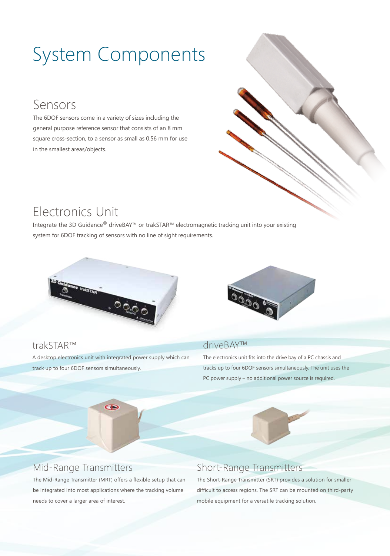# System Components

## Sensors

The 6DOF sensors come in a variety of sizes including the general purpose reference sensor that consists of an 8 mm square cross-section, to a sensor as small as 0.56 mm for use in the smallest areas/objects.



## Electronics Unit

Integrate the 3D Guidance® driveBAY™ or trakSTAR™ electromagnetic tracking unit into your existing system for 6DOF tracking of sensors with no line of sight requirements.





### trakSTAR™

A desktop electronics unit with integrated power supply which can track up to four 6DOF sensors simultaneously.

 $\bullet$ 

#### driveBAY™

The electronics unit fits into the drive bay of a PC chassis and tracks up to four 6DOF sensors simultaneously. The unit uses the PC power supply – no additional power source is required.

## Mid-Range Transmitters

The Mid-Range Transmitter (MRT) offers a flexible setup that can be integrated into most applications where the tracking volume needs to cover a larger area of interest.

## Short-Range Transmitters

The Short-Range Transmitter (SRT) provides a solution for smaller difficult to access regions. The SRT can be mounted on third-party mobile equipment for a versatile tracking solution.